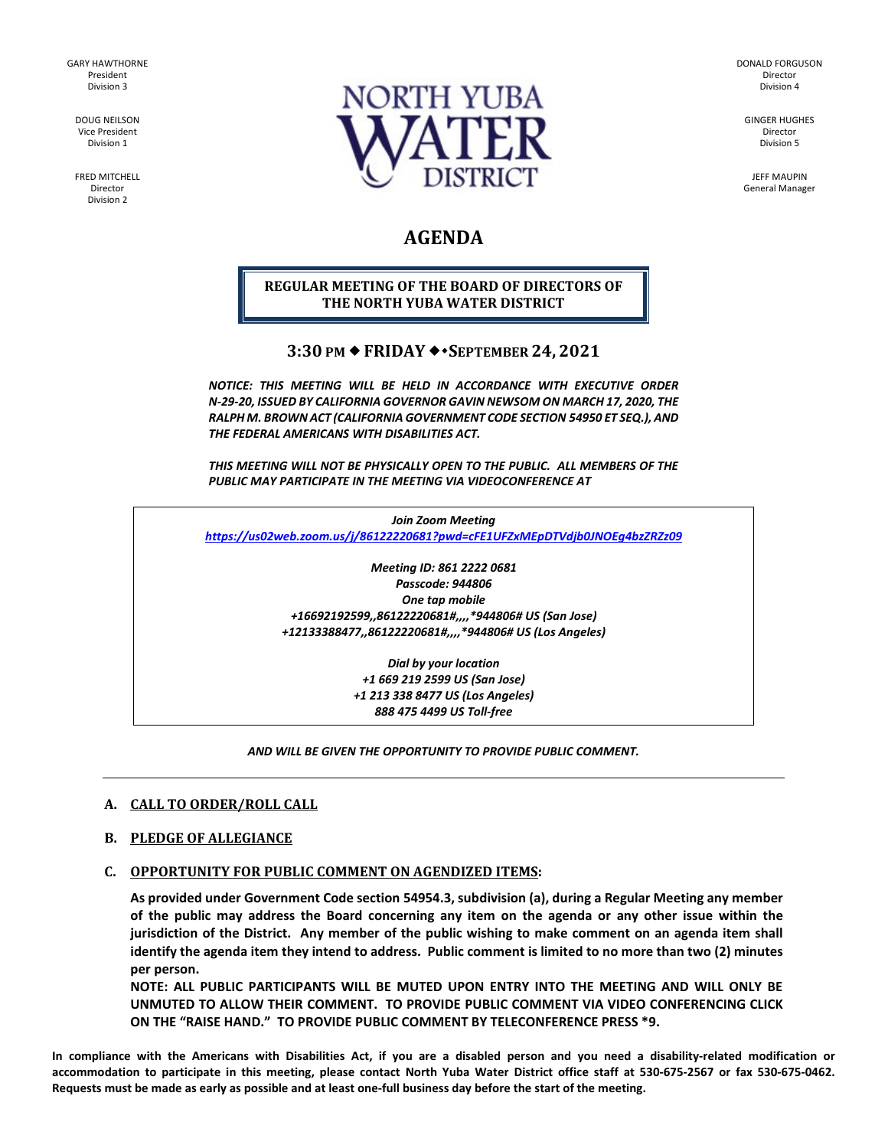GARY HAWTHORNE President Division 3

> DOUG NEILSON Vice President Division 1

FRED MITCHELL Director Division 2



DONALD FORGUSON Director Division 4

GINGER HUGHES Director Division 5

JEFF MAUPIN General Manager

# **AGENDA**

# **REGULAR MEETING OF THE BOARD OF DIRECTORS OF THE NORTH YUBA WATER DISTRICT**

# **3:30 PM FRIDAY SEPTEMBER 24, 2021**

*NOTICE: THIS MEETING WILL BE HELD IN ACCORDANCE WITH EXECUTIVE ORDER N-29-20, ISSUED BY CALIFORNIA GOVERNOR GAVIN NEWSOM ON MARCH 17, 2020, THE RALPH M. BROWN ACT (CALIFORNIA GOVERNMENT CODE SECTION 54950 ET SEQ.), AND THE FEDERAL AMERICANS WITH DISABILITIES ACT.* 

*THIS MEETING WILL NOT BE PHYSICALLY OPEN TO THE PUBLIC. ALL MEMBERS OF THE PUBLIC MAY PARTICIPATE IN THE MEETING VIA VIDEOCONFERENCE AT* 

*Join Zoom Meeting <https://us02web.zoom.us/j/86122220681?pwd=cFE1UFZxMEpDTVdjb0JNOEg4bzZRZz09>*

> *Meeting ID: 861 2222 0681 Passcode: 944806 One tap mobile +16692192599,,86122220681#,,,,\*944806# US (San Jose) +12133388477,,86122220681#,,,,\*944806# US (Los Angeles)*

> > *Dial by your location +1 669 219 2599 US (San Jose) +1 213 338 8477 US (Los Angeles) 888 475 4499 US Toll-free*

#### *AND WILL BE GIVEN THE OPPORTUNITY TO PROVIDE PUBLIC COMMENT.*

# **A. CALL TO ORDER/ROLL CALL**

#### **B. PLEDGE OF ALLEGIANCE**

# **C. OPPORTUNITY FOR PUBLIC COMMENT ON AGENDIZED ITEMS:**

**As provided under Government Code section 54954.3, subdivision (a), during a Regular Meeting any member of the public may address the Board concerning any item on the agenda or any other issue within the jurisdiction of the District. Any member of the public wishing to make comment on an agenda item shall identify the agenda item they intend to address. Public comment is limited to no more than two (2) minutes per person.** 

**NOTE: ALL PUBLIC PARTICIPANTS WILL BE MUTED UPON ENTRY INTO THE MEETING AND WILL ONLY BE UNMUTED TO ALLOW THEIR COMMENT. TO PROVIDE PUBLIC COMMENT VIA VIDEO CONFERENCING CLICK ON THE "RAISE HAND." TO PROVIDE PUBLIC COMMENT BY TELECONFERENCE PRESS \*9.**

**In compliance with the Americans with Disabilities Act, if you are a disabled person and you need a disability-related modification or accommodation to participate in this meeting, please contact North Yuba Water District office staff at 530-675-2567 or fax 530-675-0462. Requests must be made as early as possible and at least one-full business day before the start of the meeting.**